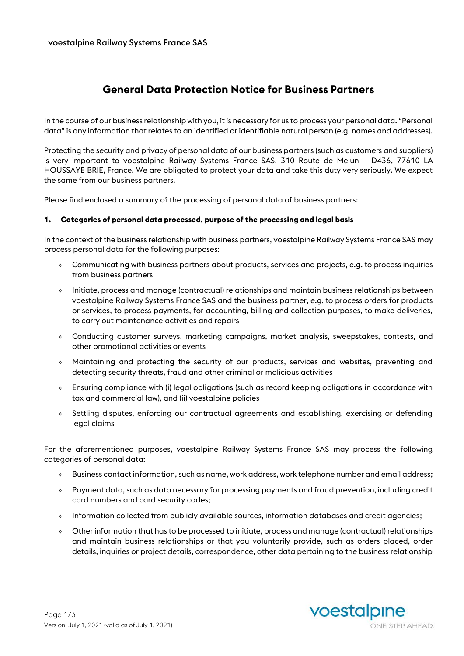# **General Data Protection Notice for Business Partners**

In the course of our business relationship with you, it is necessary for us to process your personal data. "Personal data" is any information that relates to an identified or identifiable natural person (e.g. names and addresses).

Protecting the security and privacy of personal data of our business partners (such as customers and suppliers) is very important to voestalpine Railway Systems France SAS, 310 Route de Melun – D436, 77610 LA HOUSSAYE BRIE, France. We are obligated to protect your data and take this duty very seriously. We expect the same from our business partners.

Please find enclosed a summary of the processing of personal data of business partners:

#### **1. Categories of personal data processed, purpose of the processing and legal basis**

In the context of the business relationship with business partners, voestalpine Railway Systems France SAS may process personal data for the following purposes:

- » Communicating with business partners about products, services and projects, e.g. to process inquiries from business partners
- » Initiate, process and manage (contractual) relationships and maintain business relationships between voestalpine Railway Systems France SAS and the business partner, e.g. to process orders for products or services, to process payments, for accounting, billing and collection purposes, to make deliveries, to carry out maintenance activities and repairs
- » Conducting customer surveys, marketing campaigns, market analysis, sweepstakes, contests, and other promotional activities or events
- » Maintaining and protecting the security of our products, services and websites, preventing and detecting security threats, fraud and other criminal or malicious activities
- » Ensuring compliance with (i) legal obligations (such as record keeping obligations in accordance with tax and commercial law), and (ii) voestalpine policies
- » Settling disputes, enforcing our contractual agreements and establishing, exercising or defending legal claims

For the aforementioned purposes, voestalpine Railway Systems France SAS may process the following categories of personal data:

- » Business contact information, such as name, work address, work telephone number and email address;
- » Payment data, such as data necessary for processing payments and fraud prevention, including credit card numbers and card security codes;
- » Information collected from publicly available sources, information databases and credit agencies;
- » Other information that has to be processed to initiate, process and manage (contractual) relationships and maintain business relationships or that you voluntarily provide, such as orders placed, order details, inquiries or project details, correspondence, other data pertaining to the business relationship

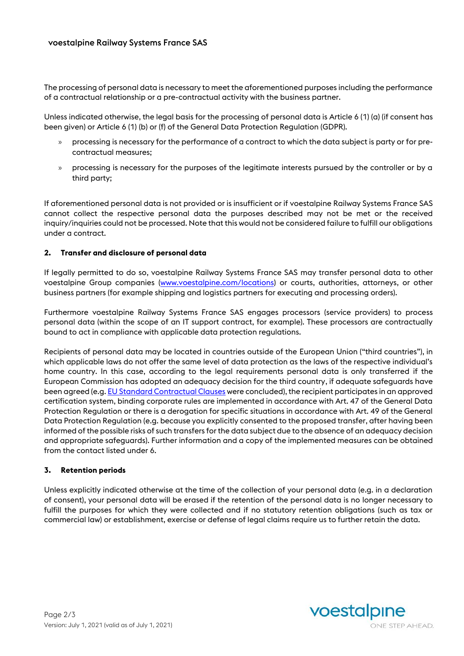The processing of personal data is necessary to meet the aforementioned purposes including the performance of a contractual relationship or a pre-contractual activity with the business partner.

Unless indicated otherwise, the legal basis for the processing of personal data is Article 6 (1) (a) (if consent has been given) or Article 6 (1) (b) or (f) of the General Data Protection Regulation (GDPR).

- » processing is necessary for the performance of a contract to which the data subject is party or for precontractual measures;
- » processing is necessary for the purposes of the legitimate interests pursued by the controller or by a third party;

If aforementioned personal data is not provided or is insufficient or if voestalpine Railway Systems France SAS cannot collect the respective personal data the purposes described may not be met or the received inquiry/inquiries could not be processed. Note that this would not be considered failure to fulfill our obligations under a contract.

### **2. Transfer and disclosure of personal data**

If legally permitted to do so, voestalpine Railway Systems France SAS may transfer personal data to other voestalpine Group companies [\(www.voestalpine.com/locations\)](http://www.voestalpine.com/locations) or courts, authorities, attorneys, or other business partners (for example shipping and logistics partners for executing and processing orders).

Furthermore voestalpine Railway Systems France SAS engages processors (service providers) to process personal data (within the scope of an IT support contract, for example). These processors are contractually bound to act in compliance with applicable data protection regulations.

Recipients of personal data may be located in countries outside of the European Union ("third countries"), in which applicable laws do not offer the same level of data protection as the laws of the respective individual's home country. In this case, according to the legal requirements personal data is only transferred if the European Commission has adopted an adequacy decision for the third country, if adequate safeguards have been agreed (e.g[. EU Standard Contractual Clauses](https://ec.europa.eu/info/law/law-topic/data-protection/data-transfers-outside-eu/model-contracts-transfer-personal-data-third-countries_en) were concluded), the recipient participates in an approved certification system, binding corporate rules are implemented in accordance with Art. 47 of the General Data Protection Regulation or there is a derogation for specific situations in accordance with Art. 49 of the General Data Protection Regulation (e.g. because you explicitly consented to the proposed transfer, after having been informed of the possible risks of such transfers for the data subject due to the absence of an adequacy decision and appropriate safeguards). Further information and a copy of the implemented measures can be obtained from the contact listed under 6.

### **3. Retention periods**

Unless explicitly indicated otherwise at the time of the collection of your personal data (e.g. in a declaration of consent), your personal data will be erased if the retention of the personal data is no longer necessary to fulfill the purposes for which they were collected and if no statutory retention obligations (such as tax or commercial law) or establishment, exercise or defense of legal claims require us to further retain the data.